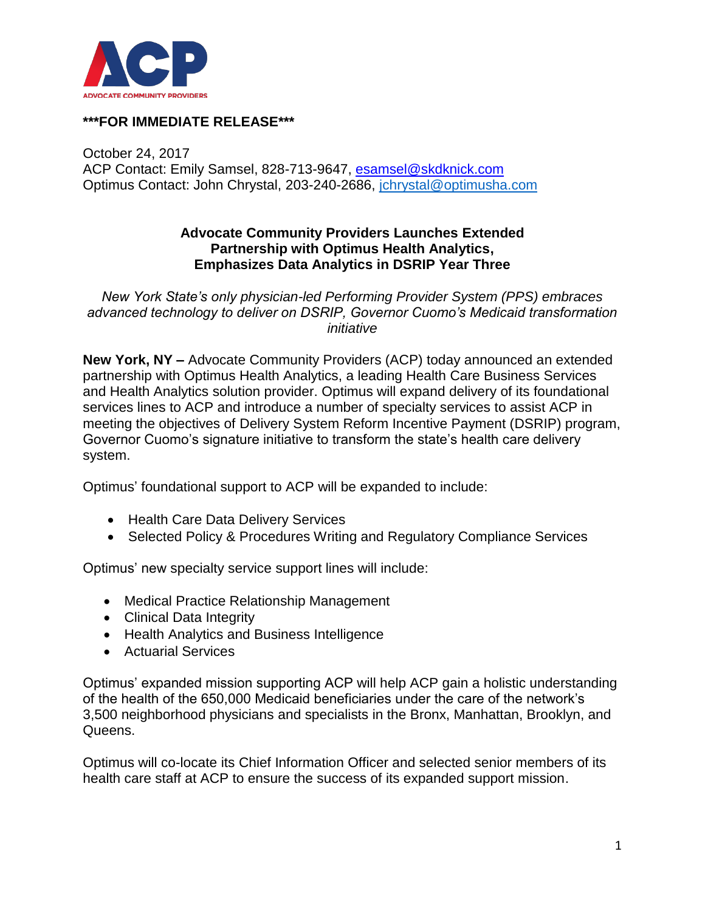

## **\*\*\*FOR IMMEDIATE RELEASE\*\*\***

October 24, 2017 ACP Contact: Emily Samsel, 828-713-9647, [esamsel@skdknick.com](mailto:esamsel@skdknick.com) Optimus Contact: John Chrystal, 203-240-2686, [jchrystal@optimusha.com](mailto:jchrystal@optimusha.com)

## **Advocate Community Providers Launches Extended Partnership with Optimus Health Analytics, Emphasizes Data Analytics in DSRIP Year Three**

*New York State's only physician-led Performing Provider System (PPS) embraces advanced technology to deliver on DSRIP, Governor Cuomo's Medicaid transformation initiative*

**New York, NY –** Advocate Community Providers (ACP) today announced an extended partnership with Optimus Health Analytics, a leading Health Care Business Services and Health Analytics solution provider. Optimus will expand delivery of its foundational services lines to ACP and introduce a number of specialty services to assist ACP in meeting the objectives of Delivery System Reform Incentive Payment (DSRIP) program, Governor Cuomo's signature initiative to transform the state's health care delivery system.

Optimus' foundational support to ACP will be expanded to include:

- Health Care Data Delivery Services
- Selected Policy & Procedures Writing and Regulatory Compliance Services

Optimus' new specialty service support lines will include:

- Medical Practice Relationship Management
- Clinical Data Integrity
- Health Analytics and Business Intelligence
- Actuarial Services

Optimus' expanded mission supporting ACP will help ACP gain a holistic understanding of the health of the 650,000 Medicaid beneficiaries under the care of the network's 3,500 neighborhood physicians and specialists in the Bronx, Manhattan, Brooklyn, and Queens.

Optimus will co-locate its Chief Information Officer and selected senior members of its health care staff at ACP to ensure the success of its expanded support mission.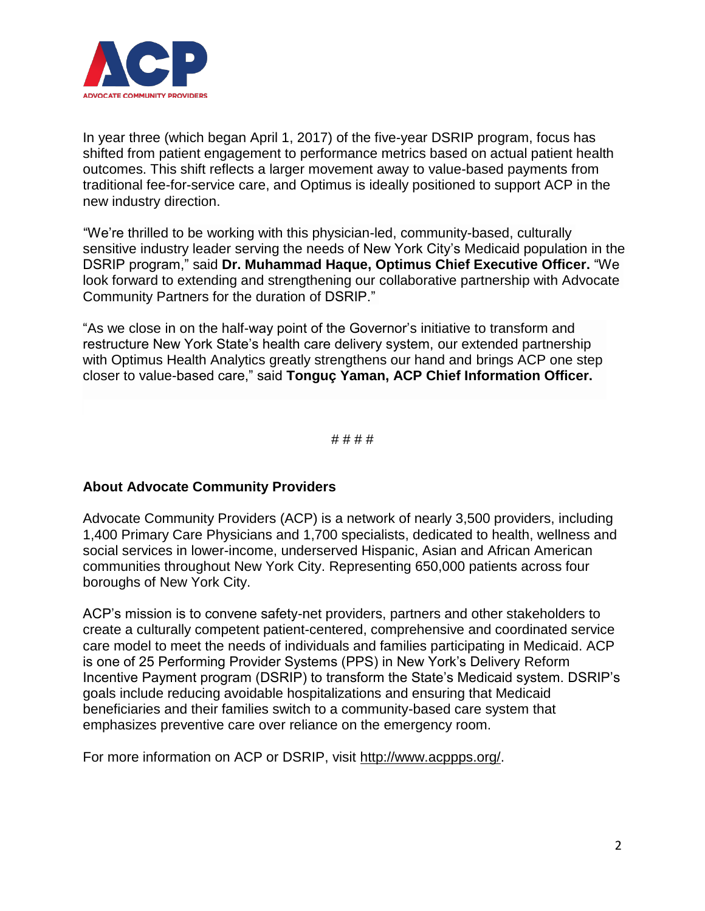

In year three (which began April 1, 2017) of the five-year DSRIP program, focus has shifted from patient engagement to performance metrics based on actual patient health outcomes. This shift reflects a larger movement away to value-based payments from traditional fee-for-service care, and Optimus is ideally positioned to support ACP in the new industry direction.

"We're thrilled to be working with this physician-led, community-based, culturally sensitive industry leader serving the needs of New York City's Medicaid population in the DSRIP program," said **Dr. Muhammad Haque, Optimus Chief Executive Officer.** "We look forward to extending and strengthening our collaborative partnership with Advocate Community Partners for the duration of DSRIP."

"As we close in on the half-way point of the Governor's initiative to transform and restructure New York State's health care delivery system, our extended partnership with Optimus Health Analytics greatly strengthens our hand and brings ACP one step closer to value-based care," said **Tonguç Yaman, ACP Chief Information Officer.**

# # # #

## **About Advocate Community Providers**

Advocate Community Providers (ACP) is a network of nearly 3,500 providers, including 1,400 Primary Care Physicians and 1,700 specialists, dedicated to health, wellness and social services in lower-income, underserved Hispanic, Asian and African American communities throughout New York City. Representing 650,000 patients across four boroughs of New York City.

ACP's mission is to convene safety-net providers, partners and other stakeholders to create a culturally competent patient-centered, comprehensive and coordinated service care model to meet the needs of individuals and families participating in Medicaid. ACP is one of 25 Performing Provider Systems (PPS) in New York's Delivery Reform Incentive Payment program (DSRIP) to transform the State's Medicaid system. DSRIP's goals include reducing avoidable hospitalizations and ensuring that Medicaid beneficiaries and their families switch to a community-based care system that emphasizes preventive care over reliance on the emergency room.

For more information on ACP or DSRIP, visit [http://www.acppps.org/.](http://www.acppps.org/)